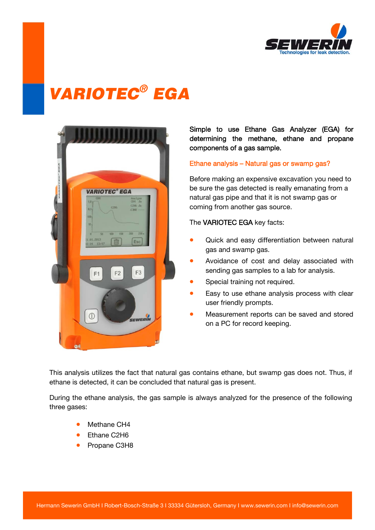

# VARIOTEC® EGA



### Simple to use Ethane Gas Analyzer (EGA) for determining the methane, ethane and propane components of a gas sample.

#### Ethane analysis – Natural gas or swamp gas?

Before making an expensive excavation you need to be sure the gas detected is really emanating from a natural gas pipe and that it is not swamp gas or coming from another gas source.

The VARIOTEC EGA key facts:

- Quick and easy differentiation between natural gas and swamp gas.
- Avoidance of cost and delay associated with sending gas samples to a lab for analysis.
- Special training not required.
- Easy to use ethane analysis process with clear user friendly prompts.
- Measurement reports can be saved and stored on a PC for record keeping.

This analysis utilizes the fact that natural gas contains ethane, but swamp gas does not. Thus, if ethane is detected, it can be concluded that natural gas is present.

During the ethane analysis, the gas sample is always analyzed for the presence of the following three gases:

- Methane CH4
- Ethane C2H6
- Propane C3H8